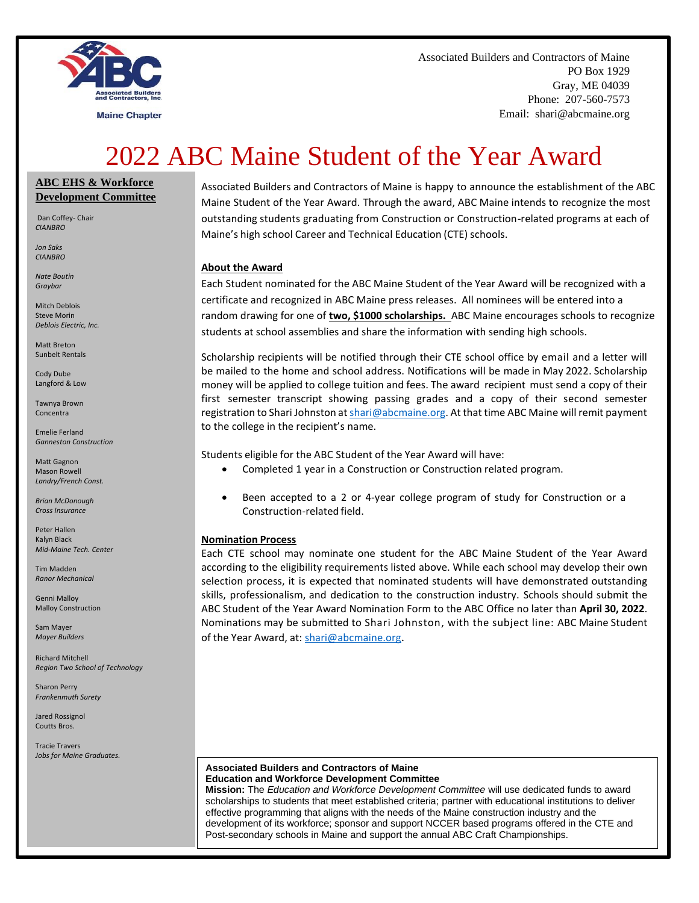

**Maine Chapter** 

Associated Builders and Contractors of Maine PO Box 1929 Gray, ME 04039 Phone: 207-560-7573 Email: shari@abcmaine.org

# 2022 ABC Maine Student of the Year Award

#### **ABC EHS & Workforce Development Committee**

Dan Coffey- Chair *CIANBRO*

*Jon Saks CIANBRO*

*Nate Boutin Graybar*

Mitch Deblois Steve Morin *Deblois Electric, Inc.*

Matt Breton Sunbelt Rentals

Cody Dube Langford & Low

Tawnya Brown Concentra

Emelie Ferland *Ganneston Construction* 

Matt Gagnon Mason Rowell *Landry/French Const.*

*Brian McDonough Cross Insurance*

Peter Hallen Kalyn Black *Mid-Maine Tech. Center*

Tim Madden *Ranor Mechanical*

Genni Malloy Malloy Construction

Sam Mayer *Mayer Builders*

Richard Mitchell *Region Two School of Technology*

Sharon Perry *Frankenmuth Surety*

Jared Rossignol Coutts Bros.

Tracie Travers *Jobs for Maine Graduates.*

Associated Builders and Contractors of Maine is happy to announce the establishment of the ABC Maine Student of the Year Award. Through the award, ABC Maine intends to recognize the most outstanding students graduating from Construction or Construction-related programs at each of Maine's high school Career and Technical Education (CTE) schools.

#### **About the Award**

Each Student nominated for the ABC Maine Student of the Year Award will be recognized with a certificate and recognized in ABC Maine press releases. All nominees will be entered into a random drawing for one of **two, \$1000 scholarships.** ABC Maine encourages schools to recognize students at school assemblies and share the information with sending high schools.

Scholarship recipients will be notified through their CTE school office by email and a letter will be mailed to the home and school address. Notifications will be made in May 2022. Scholarship money will be applied to college tuition and fees. The award recipient must send a copy of their first semester transcript showing passing grades and a copy of their second semester registration to Shari Johnston a[t shari@abcmaine.org.](mailto:shari@abcmaine.org) At that time ABC Maine will remit payment to the college in the recipient's name.

Students eligible for the ABC Student of the Year Award will have:

- Completed 1 year in a Construction or Construction related program.
- Been accepted to a 2 or 4-year college program of study for Construction or a Construction-related field.

#### **Nomination Process**

Each CTE school may nominate one student for the ABC Maine Student of the Year Award according to the eligibility requirements listed above. While each school may develop their own selection process, it is expected that nominated students will have demonstrated outstanding skills, professionalism, and dedication to the construction industry. Schools should submit the ABC Student of the Year Award Nomination Form to the ABC Office no later than **April 30, 2022**. Nominations may be submitted to Shari Johnston, with the subject line: ABC Maine Student of the Year Award, at: [shari@abcmaine.org](mailto:shari@abcmaine.org).

#### **Associated Builders and Contractors of Maine Education and Workforce Development Committee**

**Mission:** The *Education and Workforce Development Committee* will use dedicated funds to award scholarships to students that meet established criteria; partner with educational institutions to deliver effective programming that aligns with the needs of the Maine construction industry and the development of its workforce; sponsor and support NCCER based programs offered in the CTE and Post-secondary schools in Maine and support the annual ABC Craft Championships*.*